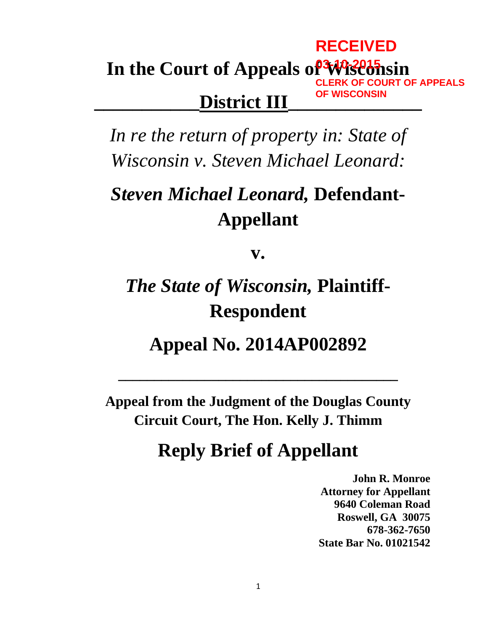## **In the Court of Appeals of Wisconsin 03-10-2015 RECEIVED CLERK OF COURT OF APPEALS OF WISCONSIN**

## **\_\_\_\_\_\_\_\_\_\_\_District III\_\_\_\_\_\_\_\_\_\_\_\_\_\_**

*In re the return of property in: State of Wisconsin v. Steven Michael Leonard:*

# *Steven Michael Leonard,* **Defendant-Appellant**

**v.**

# *The State of Wisconsin,* **Plaintiff-Respondent**

## **Appeal No. 2014AP002892**

**\_\_\_\_\_\_\_\_\_\_\_\_\_\_\_\_\_\_\_\_\_\_\_\_\_\_\_\_\_\_\_\_\_\_\_\_\_\_\_**

**Appeal from the Judgment of the Douglas County Circuit Court, The Hon. Kelly J. Thimm**

## **Reply Brief of Appellant**

**John R. Monroe Attorney for Appellant 9640 Coleman Road Roswell, GA 30075 678-362-7650 State Bar No. 01021542**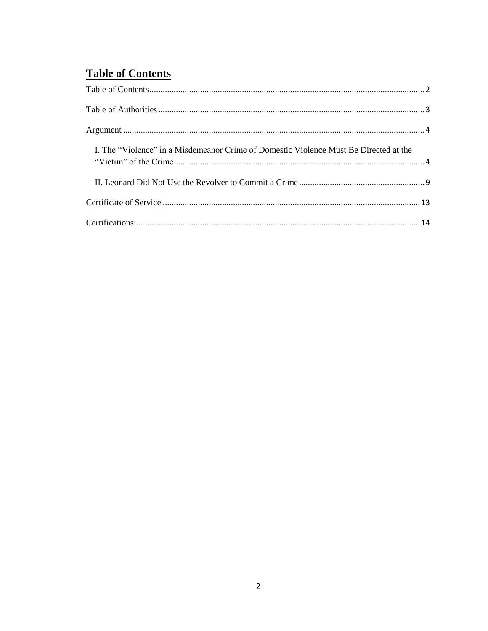### <span id="page-1-0"></span>**Table of Contents**

| I. The "Violence" in a Misdemeanor Crime of Domestic Violence Must Be Directed at the |  |
|---------------------------------------------------------------------------------------|--|
|                                                                                       |  |
|                                                                                       |  |
|                                                                                       |  |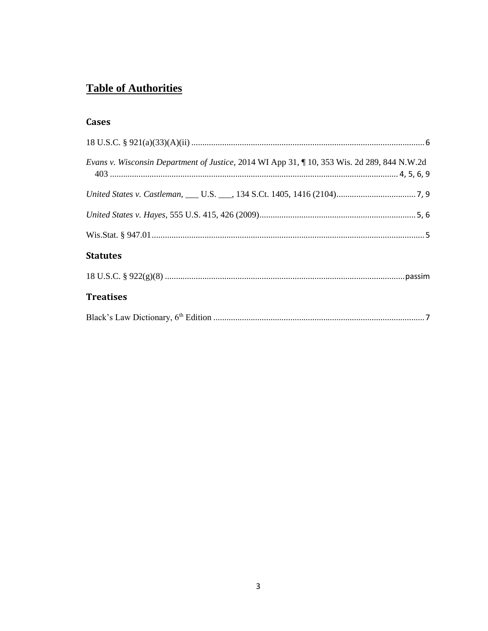## <span id="page-2-0"></span>**Table of Authorities**

#### **Cases**

| Evans v. Wisconsin Department of Justice, 2014 WI App 31, 10, 353 Wis. 2d 289, 844 N.W.2d |
|-------------------------------------------------------------------------------------------|
|                                                                                           |
|                                                                                           |
|                                                                                           |
| <b>Statutes</b>                                                                           |
|                                                                                           |
| <b>Treatises</b>                                                                          |
|                                                                                           |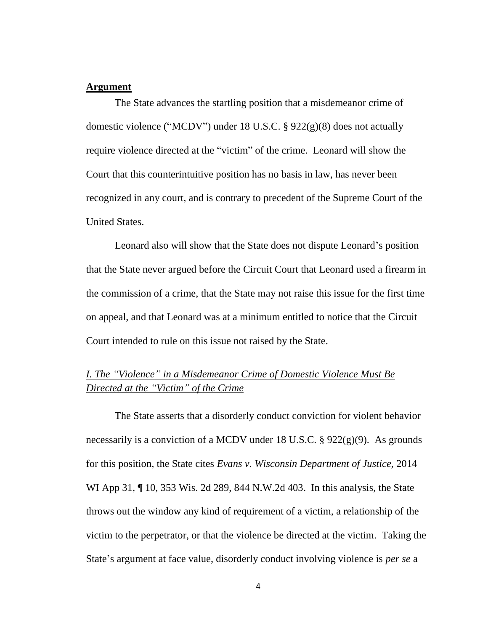#### <span id="page-3-0"></span>**Argument**

The State advances the startling position that a misdemeanor crime of domestic violence ("MCDV") under 18 U.S.C. § 922(g)(8) does not actually require violence directed at the "victim" of the crime. Leonard will show the Court that this counterintuitive position has no basis in law, has never been recognized in any court, and is contrary to precedent of the Supreme Court of the United States.

Leonard also will show that the State does not dispute Leonard's position that the State never argued before the Circuit Court that Leonard used a firearm in the commission of a crime, that the State may not raise this issue for the first time on appeal, and that Leonard was at a minimum entitled to notice that the Circuit Court intended to rule on this issue not raised by the State.

#### <span id="page-3-1"></span>*I. The "Violence" in a Misdemeanor Crime of Domestic Violence Must Be Directed at the "Victim" of the Crime*

The State asserts that a disorderly conduct conviction for violent behavior necessarily is a conviction of a MCDV under 18 U.S.C. § 922(g)(9). As grounds for this position, the State cites *Evans v. Wisconsin Department of Justice,* 2014 WI App 31, 10, 353 Wis. 2d 289, 844 N.W. 2d 403. In this analysis, the State throws out the window any kind of requirement of a victim, a relationship of the victim to the perpetrator, or that the violence be directed at the victim. Taking the State's argument at face value, disorderly conduct involving violence is *per se* a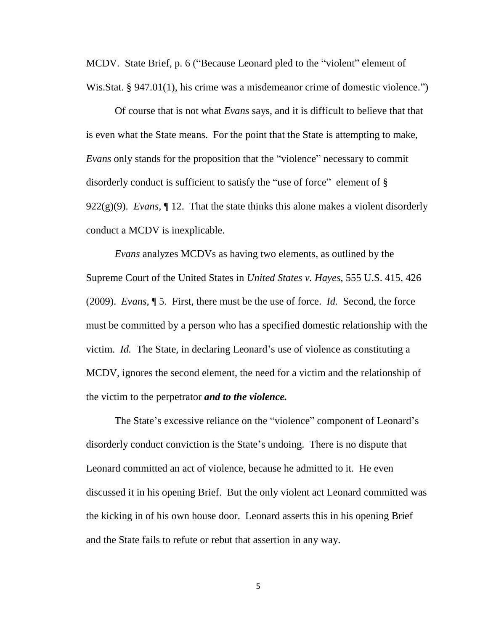MCDV. State Brief, p. 6 ("Because Leonard pled to the "violent" element of Wis.Stat. § 947.01(1), his crime was a misdemeanor crime of domestic violence.")

Of course that is not what *Evans* says, and it is difficult to believe that that is even what the State means. For the point that the State is attempting to make, *Evans* only stands for the proposition that the "violence" necessary to commit disorderly conduct is sufficient to satisfy the "use of force" element of § 922 $(g)(9)$ . *Evans*,  $\llbracket$  12. That the state thinks this alone makes a violent disorderly conduct a MCDV is inexplicable.

*Evans* analyzes MCDVs as having two elements, as outlined by the Supreme Court of the United States in *United States v. Hayes,* 555 U.S. 415, 426 (2009). *Evans,* ¶ 5. First, there must be the use of force. *Id.* Second, the force must be committed by a person who has a specified domestic relationship with the victim. *Id.* The State, in declaring Leonard's use of violence as constituting a MCDV, ignores the second element, the need for a victim and the relationship of the victim to the perpetrator *and to the violence.*

The State's excessive reliance on the "violence" component of Leonard's disorderly conduct conviction is the State's undoing. There is no dispute that Leonard committed an act of violence, because he admitted to it. He even discussed it in his opening Brief. But the only violent act Leonard committed was the kicking in of his own house door. Leonard asserts this in his opening Brief and the State fails to refute or rebut that assertion in any way.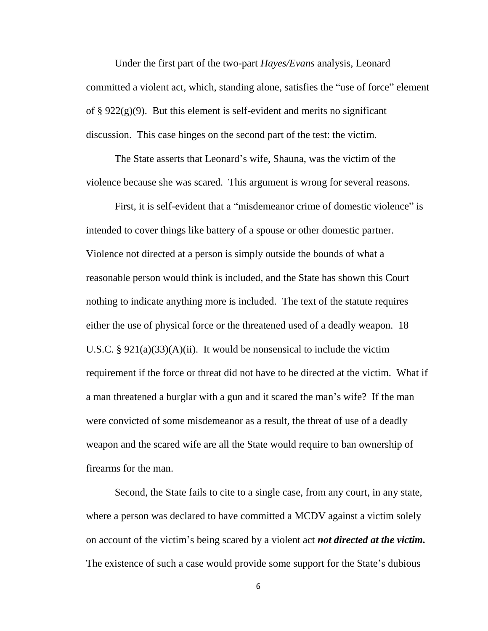Under the first part of the two-part *Hayes/Evans* analysis, Leonard committed a violent act, which, standing alone, satisfies the "use of force" element of §  $922(g)(9)$ . But this element is self-evident and merits no significant discussion. This case hinges on the second part of the test: the victim.

The State asserts that Leonard's wife, Shauna, was the victim of the violence because she was scared. This argument is wrong for several reasons.

First, it is self-evident that a "misdemeanor crime of domestic violence" is intended to cover things like battery of a spouse or other domestic partner. Violence not directed at a person is simply outside the bounds of what a reasonable person would think is included, and the State has shown this Court nothing to indicate anything more is included. The text of the statute requires either the use of physical force or the threatened used of a deadly weapon. 18 U.S.C. §  $921(a)(33)(A)(ii)$ . It would be nonsensical to include the victim requirement if the force or threat did not have to be directed at the victim. What if a man threatened a burglar with a gun and it scared the man's wife? If the man were convicted of some misdemeanor as a result, the threat of use of a deadly weapon and the scared wife are all the State would require to ban ownership of firearms for the man.

Second, the State fails to cite to a single case, from any court, in any state, where a person was declared to have committed a MCDV against a victim solely on account of the victim's being scared by a violent act *not directed at the victim.*  The existence of such a case would provide some support for the State's dubious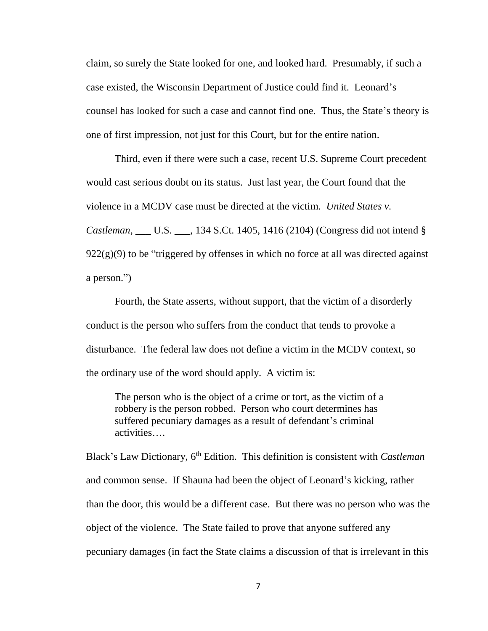claim, so surely the State looked for one, and looked hard. Presumably, if such a case existed, the Wisconsin Department of Justice could find it. Leonard's counsel has looked for such a case and cannot find one. Thus, the State's theory is one of first impression, not just for this Court, but for the entire nation.

Third, even if there were such a case, recent U.S. Supreme Court precedent would cast serious doubt on its status. Just last year, the Court found that the violence in a MCDV case must be directed at the victim. *United States v. Castleman,* \_\_\_ U.S. \_\_\_, 134 S.Ct. 1405, 1416 (2104) (Congress did not intend §  $922(g)(9)$  to be "triggered by offenses in which no force at all was directed against a person.")

Fourth, the State asserts, without support, that the victim of a disorderly conduct is the person who suffers from the conduct that tends to provoke a disturbance. The federal law does not define a victim in the MCDV context, so the ordinary use of the word should apply. A victim is:

The person who is the object of a crime or tort, as the victim of a robbery is the person robbed. Person who court determines has suffered pecuniary damages as a result of defendant's criminal activities….

Black's Law Dictionary, 6<sup>th</sup> Edition. This definition is consistent with *Castleman* and common sense. If Shauna had been the object of Leonard's kicking, rather than the door, this would be a different case. But there was no person who was the object of the violence. The State failed to prove that anyone suffered any pecuniary damages (in fact the State claims a discussion of that is irrelevant in this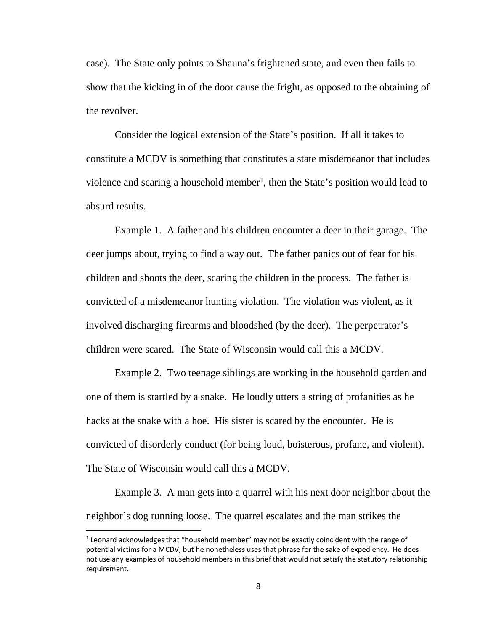case). The State only points to Shauna's frightened state, and even then fails to show that the kicking in of the door cause the fright, as opposed to the obtaining of the revolver.

Consider the logical extension of the State's position. If all it takes to constitute a MCDV is something that constitutes a state misdemeanor that includes violence and scaring a household member<sup>1</sup>, then the State's position would lead to absurd results.

Example 1. A father and his children encounter a deer in their garage. The deer jumps about, trying to find a way out. The father panics out of fear for his children and shoots the deer, scaring the children in the process. The father is convicted of a misdemeanor hunting violation. The violation was violent, as it involved discharging firearms and bloodshed (by the deer). The perpetrator's children were scared. The State of Wisconsin would call this a MCDV.

Example 2. Two teenage siblings are working in the household garden and one of them is startled by a snake. He loudly utters a string of profanities as he hacks at the snake with a hoe. His sister is scared by the encounter. He is convicted of disorderly conduct (for being loud, boisterous, profane, and violent). The State of Wisconsin would call this a MCDV.

Example 3. A man gets into a quarrel with his next door neighbor about the neighbor's dog running loose. The quarrel escalates and the man strikes the

 $\overline{a}$ 

<sup>&</sup>lt;sup>1</sup> Leonard acknowledges that "household member" may not be exactly coincident with the range of potential victims for a MCDV, but he nonetheless uses that phrase for the sake of expediency. He does not use any examples of household members in this brief that would not satisfy the statutory relationship requirement.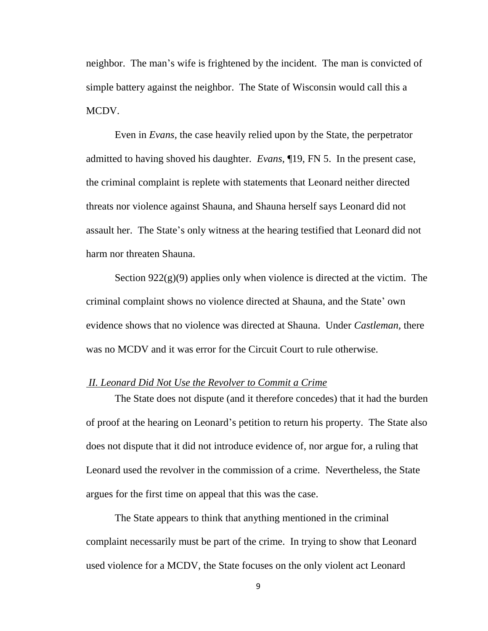neighbor. The man's wife is frightened by the incident. The man is convicted of simple battery against the neighbor. The State of Wisconsin would call this a MCDV.

Even in *Evans,* the case heavily relied upon by the State, the perpetrator admitted to having shoved his daughter. *Evans,* ¶19, FN 5. In the present case, the criminal complaint is replete with statements that Leonard neither directed threats nor violence against Shauna, and Shauna herself says Leonard did not assault her. The State's only witness at the hearing testified that Leonard did not harm nor threaten Shauna.

Section  $922(g)(9)$  applies only when violence is directed at the victim. The criminal complaint shows no violence directed at Shauna, and the State' own evidence shows that no violence was directed at Shauna. Under *Castleman,* there was no MCDV and it was error for the Circuit Court to rule otherwise.

#### <span id="page-8-0"></span>*II. Leonard Did Not Use the Revolver to Commit a Crime*

The State does not dispute (and it therefore concedes) that it had the burden of proof at the hearing on Leonard's petition to return his property. The State also does not dispute that it did not introduce evidence of, nor argue for, a ruling that Leonard used the revolver in the commission of a crime. Nevertheless, the State argues for the first time on appeal that this was the case.

The State appears to think that anything mentioned in the criminal complaint necessarily must be part of the crime. In trying to show that Leonard used violence for a MCDV, the State focuses on the only violent act Leonard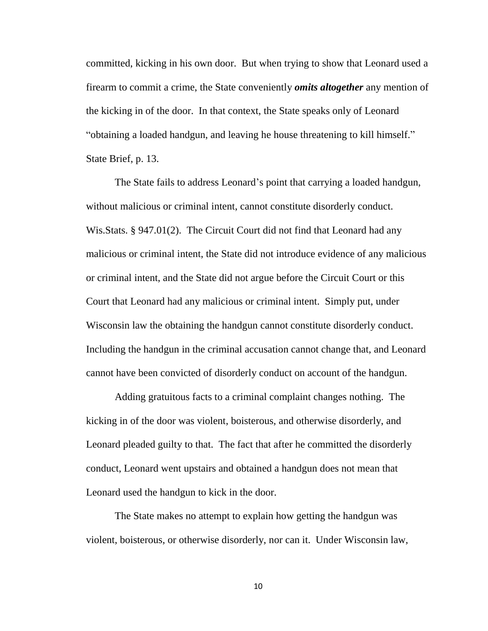committed, kicking in his own door. But when trying to show that Leonard used a firearm to commit a crime, the State conveniently *omits altogether* any mention of the kicking in of the door. In that context, the State speaks only of Leonard "obtaining a loaded handgun, and leaving he house threatening to kill himself." State Brief, p. 13.

The State fails to address Leonard's point that carrying a loaded handgun, without malicious or criminal intent, cannot constitute disorderly conduct. Wis.Stats. § 947.01(2). The Circuit Court did not find that Leonard had any malicious or criminal intent, the State did not introduce evidence of any malicious or criminal intent, and the State did not argue before the Circuit Court or this Court that Leonard had any malicious or criminal intent. Simply put, under Wisconsin law the obtaining the handgun cannot constitute disorderly conduct. Including the handgun in the criminal accusation cannot change that, and Leonard cannot have been convicted of disorderly conduct on account of the handgun.

Adding gratuitous facts to a criminal complaint changes nothing. The kicking in of the door was violent, boisterous, and otherwise disorderly, and Leonard pleaded guilty to that. The fact that after he committed the disorderly conduct, Leonard went upstairs and obtained a handgun does not mean that Leonard used the handgun to kick in the door.

The State makes no attempt to explain how getting the handgun was violent, boisterous, or otherwise disorderly, nor can it. Under Wisconsin law,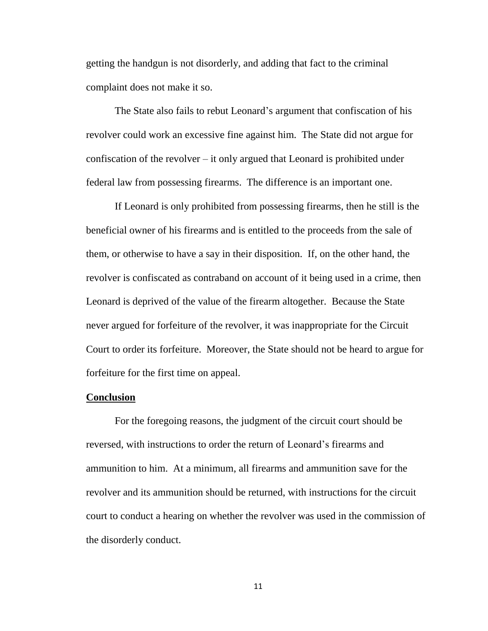getting the handgun is not disorderly, and adding that fact to the criminal complaint does not make it so.

The State also fails to rebut Leonard's argument that confiscation of his revolver could work an excessive fine against him. The State did not argue for confiscation of the revolver – it only argued that Leonard is prohibited under federal law from possessing firearms. The difference is an important one.

If Leonard is only prohibited from possessing firearms, then he still is the beneficial owner of his firearms and is entitled to the proceeds from the sale of them, or otherwise to have a say in their disposition. If, on the other hand, the revolver is confiscated as contraband on account of it being used in a crime, then Leonard is deprived of the value of the firearm altogether. Because the State never argued for forfeiture of the revolver, it was inappropriate for the Circuit Court to order its forfeiture. Moreover, the State should not be heard to argue for forfeiture for the first time on appeal.

#### **Conclusion**

For the foregoing reasons, the judgment of the circuit court should be reversed, with instructions to order the return of Leonard's firearms and ammunition to him. At a minimum, all firearms and ammunition save for the revolver and its ammunition should be returned, with instructions for the circuit court to conduct a hearing on whether the revolver was used in the commission of the disorderly conduct.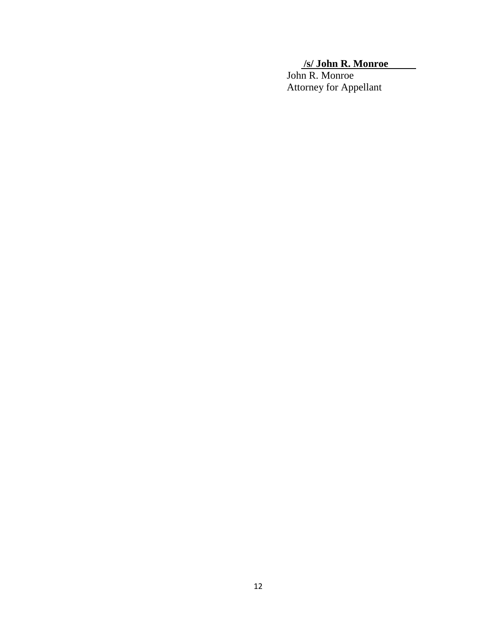### **/s/ John R. Monroe**

John R. Monroe Attorney for Appellant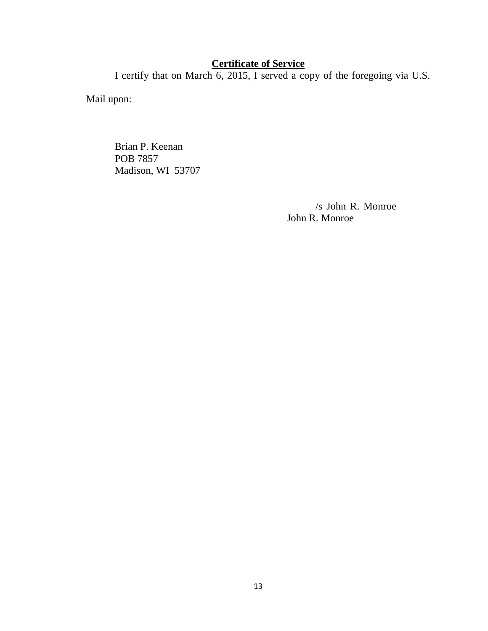### **Certificate of Service**

<span id="page-12-0"></span>I certify that on March 6, 2015, I served a copy of the foregoing via U.S.

Mail upon:

Brian P. Keenan POB 7857 Madison, WI 53707

> /s John R. Monroe John R. Monroe